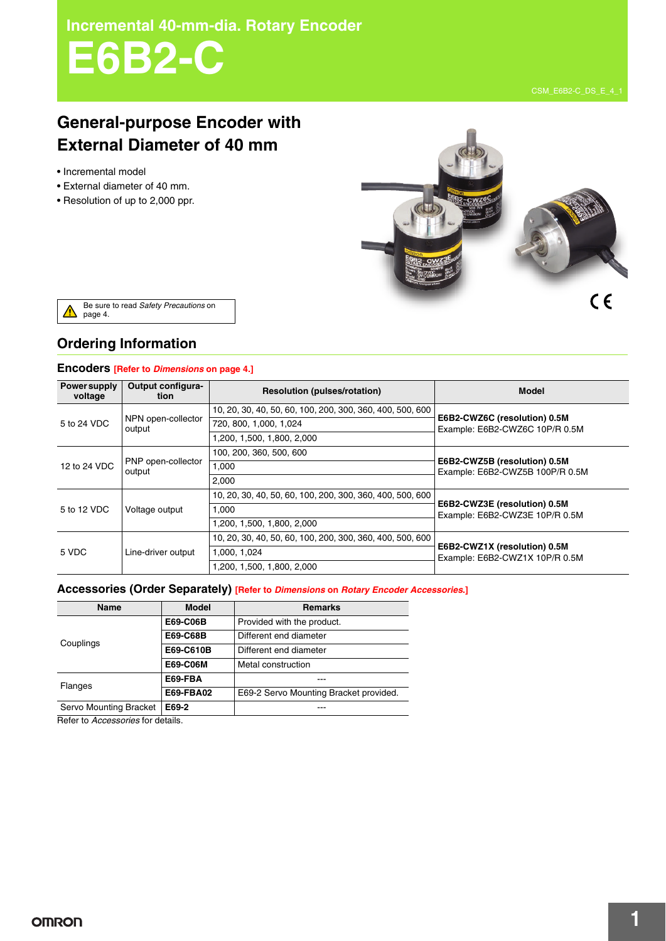**Incremental 40-mm-dia. Rotary Encoder**

# **E6B2-C**

# **General-purpose Encoder with External Diameter of 40 mm**

- Incremental model
- External diameter of 40 mm.
- Resolution of up to 2,000 ppr.



Be sure to read *Safety Precautions* on page 4. ́^

## **Ordering Information**

## **Encoders [Refer to** *Dimensions* **on page 4.]**

| <b>Power supply</b><br>voltage | Output configura-<br>tion    | <b>Resolution (pulses/rotation)</b>                       | <b>Model</b>                                                    |  |
|--------------------------------|------------------------------|-----------------------------------------------------------|-----------------------------------------------------------------|--|
| 5 to 24 VDC                    | NPN open-collector<br>output | 10, 20, 30, 40, 50, 60, 100, 200, 300, 360, 400, 500, 600 | E6B2-CWZ6C (resolution) 0.5M<br>Example: E6B2-CWZ6C 10P/R 0.5M  |  |
|                                |                              | 720, 800, 1,000, 1,024                                    |                                                                 |  |
|                                |                              | 1,200, 1,500, 1,800, 2,000                                |                                                                 |  |
| 12 to 24 VDC                   | PNP open-collector<br>output | 100, 200, 360, 500, 600                                   | E6B2-CWZ5B (resolution) 0.5M<br>Example: E6B2-CWZ5B 100P/R 0.5M |  |
|                                |                              | 1.000                                                     |                                                                 |  |
|                                |                              | 2,000                                                     |                                                                 |  |
| 5 to 12 VDC                    | Voltage output               | 10, 20, 30, 40, 50, 60, 100, 200, 300, 360, 400, 500, 600 |                                                                 |  |
|                                |                              | 1,000                                                     | E6B2-CWZ3E (resolution) 0.5M<br>Example: E6B2-CWZ3E 10P/R 0.5M  |  |
|                                |                              | 1,200, 1,500, 1,800, 2,000                                |                                                                 |  |
| 5 VDC                          | Line-driver output           | 10, 20, 30, 40, 50, 60, 100, 200, 300, 360, 400, 500, 600 | E6B2-CWZ1X (resolution) 0.5M<br>Example: E6B2-CWZ1X 10P/R 0.5M  |  |
|                                |                              | 1,000, 1,024                                              |                                                                 |  |
|                                |                              | 1,200, 1,500, 1,800, 2,000                                |                                                                 |  |

## **Accessories (Order Separately) [Refer to** *Dimensions* **on** *Rotary Encoder Accessories***.]**

| Name                   | <b>Model</b> | <b>Remarks</b>                         |  |
|------------------------|--------------|----------------------------------------|--|
|                        | E69-C06B     | Provided with the product.             |  |
| Couplings              | E69-C68B     | Different end diameter                 |  |
|                        | E69-C610B    | Different end diameter                 |  |
|                        | E69-C06M     | Metal construction                     |  |
| <b>Flanges</b>         | E69-FBA      |                                        |  |
|                        | E69-FBA02    | E69-2 Servo Mounting Bracket provided. |  |
| Servo Mounting Bracket | E69-2        |                                        |  |

Refer to *Accessories* for details.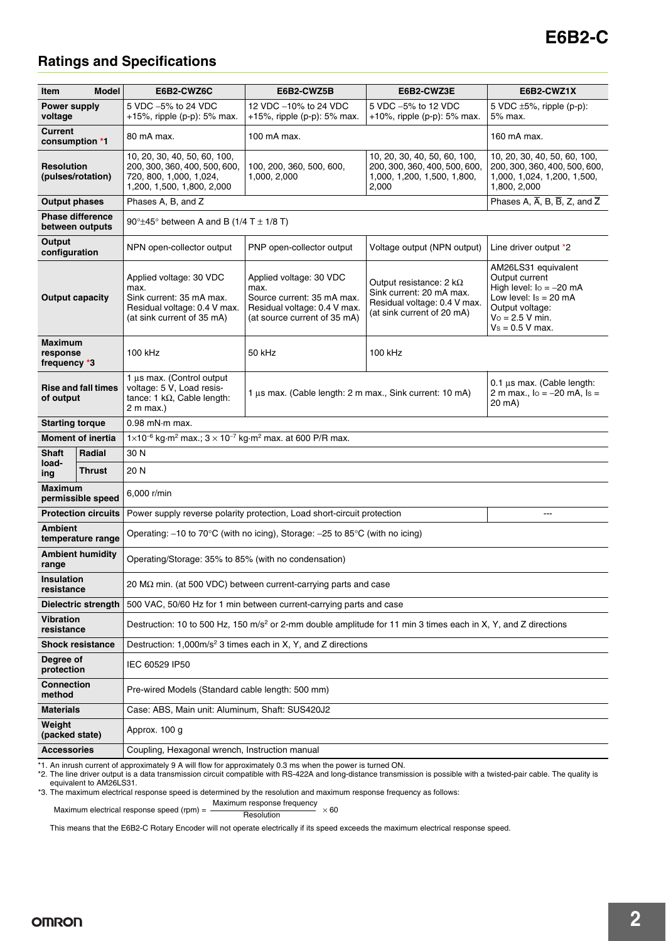# **E6B2-C**

## **Ratings and Specifications**

| <b>Item</b><br>Model                       |        | E6B2-CWZ6C                                                                                                                 | E6B2-CWZ5B                                                                                                                    | E6B2-CWZ3E                                                                                                               | E6B2-CWZ1X                                                                                                                                                   |  |  |
|--------------------------------------------|--------|----------------------------------------------------------------------------------------------------------------------------|-------------------------------------------------------------------------------------------------------------------------------|--------------------------------------------------------------------------------------------------------------------------|--------------------------------------------------------------------------------------------------------------------------------------------------------------|--|--|
| Power supply<br>voltage                    |        | 5 VDC -5% to 24 VDC<br>+15%, ripple $(p-p)$ : 5% max.                                                                      | 12 VDC -10% to 24 VDC<br>+15%, ripple $(p-p)$ : 5% max.                                                                       | 5 VDC -5% to 12 VDC<br>+10%, ripple $(p-p)$ : 5% max.                                                                    | 5 VDC $\pm 5\%$ , ripple (p-p):<br>5% max.                                                                                                                   |  |  |
| <b>Current</b><br>consumption *1           |        | 80 mA max.                                                                                                                 | 100 mA max.                                                                                                                   |                                                                                                                          | 160 mA max.                                                                                                                                                  |  |  |
| <b>Resolution</b><br>(pulses/rotation)     |        | 10, 20, 30, 40, 50, 60, 100,<br>200, 300, 360, 400, 500, 600,<br>720, 800, 1,000, 1,024,<br>1,200, 1,500, 1,800, 2,000     | 100, 200, 360, 500, 600,<br>1,000, 2,000                                                                                      | 10, 20, 30, 40, 50, 60, 100,<br>200, 300, 360, 400, 500, 600,<br>1,000, 1,200, 1,500, 1,800,<br>2,000                    | 10, 20, 30, 40, 50, 60, 100,<br>200, 300, 360, 400, 500, 600,<br>1,000, 1,024, 1,200, 1,500,<br>1,800, 2,000                                                 |  |  |
| <b>Output phases</b>                       |        | Phases A, B, and Z                                                                                                         | Phases A, $\overline{A}$ , B, $\overline{B}$ , Z, and $\overline{Z}$                                                          |                                                                                                                          |                                                                                                                                                              |  |  |
| <b>Phase difference</b><br>between outputs |        | 90° $\pm$ 45° between A and B (1/4 T $\pm$ 1/8 T)                                                                          |                                                                                                                               |                                                                                                                          |                                                                                                                                                              |  |  |
| Output<br>configuration                    |        | NPN open-collector output                                                                                                  | PNP open-collector output                                                                                                     | Voltage output (NPN output)                                                                                              | Line driver output *2                                                                                                                                        |  |  |
| <b>Output capacity</b>                     |        | Applied voltage: 30 VDC<br>max.<br>Sink current: 35 mA max.<br>Residual voltage: 0.4 V max.<br>(at sink current of 35 mA)  | Applied voltage: 30 VDC<br>max.<br>Source current: 35 mA max.<br>Residual voltage: 0.4 V max.<br>(at source current of 35 mA) | Output resistance: $2 k\Omega$<br>Sink current: 20 mA max.<br>Residual voltage: 0.4 V max.<br>(at sink current of 20 mA) | AM26LS31 equivalent<br>Output current<br>High level: $I_0 = -20$ mA<br>Low level: $Is = 20 mA$<br>Output voltage:<br>$V_0 = 2.5 V min.$<br>$Vs = 0.5 V$ max. |  |  |
| <b>Maximum</b><br>response<br>frequency *3 |        | 100 kHz                                                                                                                    | 50 kHz                                                                                                                        | 100 kHz                                                                                                                  |                                                                                                                                                              |  |  |
| <b>Rise and fall times</b><br>of output    |        | 1 µs max. (Control output<br>voltage: 5 V, Load resis-<br>tance: 1 $k\Omega$ , Cable length:<br>2 m max.                   | 1 µs max. (Cable length: 2 m max., Sink current: 10 mA)                                                                       |                                                                                                                          | $0.1 \,\mu s$ max. (Cable length:<br>2 m max., $I_0 = -20$ mA, $I_s =$<br>20 mA)                                                                             |  |  |
| <b>Starting torque</b>                     |        | $0.98$ mN $\cdot$ m max.                                                                                                   |                                                                                                                               |                                                                                                                          |                                                                                                                                                              |  |  |
| <b>Moment of inertia</b>                   |        | 1×10 <sup>-6</sup> kg·m <sup>2</sup> max.; $3 \times 10^{-7}$ kg·m <sup>2</sup> max. at 600 P/R max.                       |                                                                                                                               |                                                                                                                          |                                                                                                                                                              |  |  |
| <b>Shaft</b>                               | Radial | 30 N                                                                                                                       |                                                                                                                               |                                                                                                                          |                                                                                                                                                              |  |  |
| load-<br>ing                               | Thrust | 20 N                                                                                                                       |                                                                                                                               |                                                                                                                          |                                                                                                                                                              |  |  |
| <b>Maximum</b><br>permissible speed        |        | 6,000 r/min                                                                                                                |                                                                                                                               |                                                                                                                          |                                                                                                                                                              |  |  |
| <b>Protection circuits</b>                 |        | Power supply reverse polarity protection, Load short-circuit protection                                                    | $\overline{a}$                                                                                                                |                                                                                                                          |                                                                                                                                                              |  |  |
| <b>Ambient</b><br>temperature range        |        | Operating: -10 to 70°C (with no icing), Storage: -25 to 85°C (with no icing)                                               |                                                                                                                               |                                                                                                                          |                                                                                                                                                              |  |  |
| <b>Ambient humidity</b><br>range           |        | Operating/Storage: 35% to 85% (with no condensation)                                                                       |                                                                                                                               |                                                                                                                          |                                                                                                                                                              |  |  |
| <b>Insulation</b><br>resistance            |        | 20 MΩ min. (at 500 VDC) between current-carrying parts and case                                                            |                                                                                                                               |                                                                                                                          |                                                                                                                                                              |  |  |
| Dielectric strength                        |        | 500 VAC, 50/60 Hz for 1 min between current-carrying parts and case                                                        |                                                                                                                               |                                                                                                                          |                                                                                                                                                              |  |  |
| <b>Vibration</b><br>resistance             |        | Destruction: 10 to 500 Hz, 150 m/s <sup>2</sup> or 2-mm double amplitude for 11 min 3 times each in X, Y, and Z directions |                                                                                                                               |                                                                                                                          |                                                                                                                                                              |  |  |
| <b>Shock resistance</b>                    |        | Destruction: 1,000m/s <sup>2</sup> 3 times each in X, Y, and Z directions                                                  |                                                                                                                               |                                                                                                                          |                                                                                                                                                              |  |  |
| Degree of<br>protection                    |        | IEC 60529 IP50                                                                                                             |                                                                                                                               |                                                                                                                          |                                                                                                                                                              |  |  |
| <b>Connection</b><br>method                |        | Pre-wired Models (Standard cable length: 500 mm)                                                                           |                                                                                                                               |                                                                                                                          |                                                                                                                                                              |  |  |
| <b>Materials</b>                           |        | Case: ABS, Main unit: Aluminum, Shaft: SUS420J2                                                                            |                                                                                                                               |                                                                                                                          |                                                                                                                                                              |  |  |
| Weight<br>(packed state)                   |        | Approx. 100 g                                                                                                              |                                                                                                                               |                                                                                                                          |                                                                                                                                                              |  |  |
| <b>Accessories</b>                         |        | Coupling, Hexagonal wrench, Instruction manual                                                                             |                                                                                                                               |                                                                                                                          |                                                                                                                                                              |  |  |

\*1. An inrush current of approximately 9 A will flow for approximately 0.3 ms when the power is turned ON.<br>\*2. The line driver output is a data transmission circuit compatible with RS-422A and long-distance transmission is equivalent to AM26LS31.

\*3. The maximum electrical response speed is determined by the resolution and maximum response frequency as follows:

The maximum electrical response speed (rpm) =  $\frac{\text{Maximum response frequency}}{\text{Resolution}} \times 60$ 

This means that the E6B2-C Rotary Encoder will not operate electrically if its speed exceeds the maximum electrical response speed.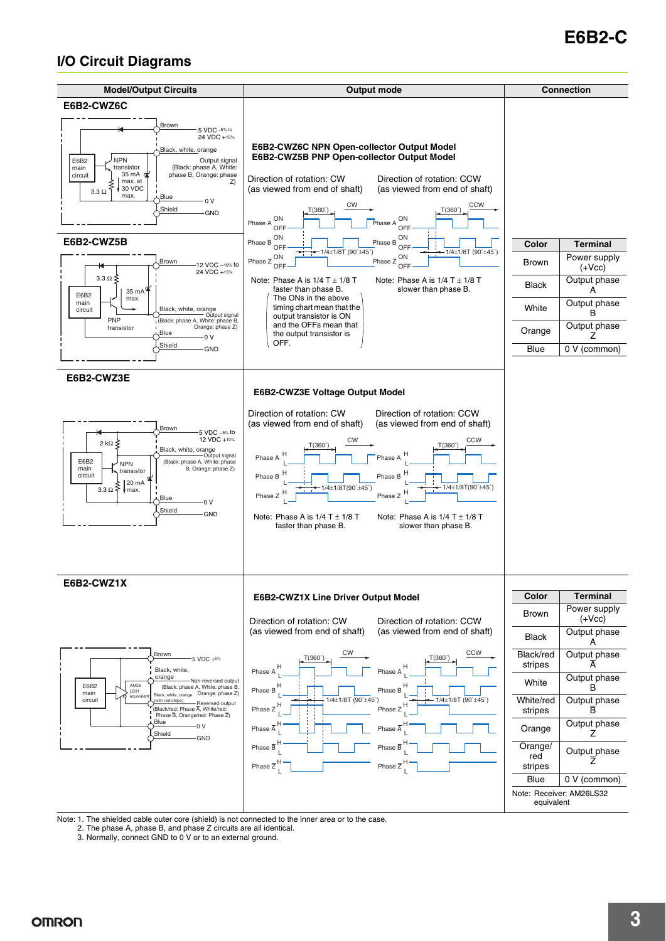# **E6B2-C**

## **I/O Circuit Diagrams**



Note: 1. The shielded cable outer core (shield) is not connected to the inner area or to the case.

2. The phase A, phase B, and phase Z circuits are all identical.

3. Normally, connect GND to 0 V or to an external ground.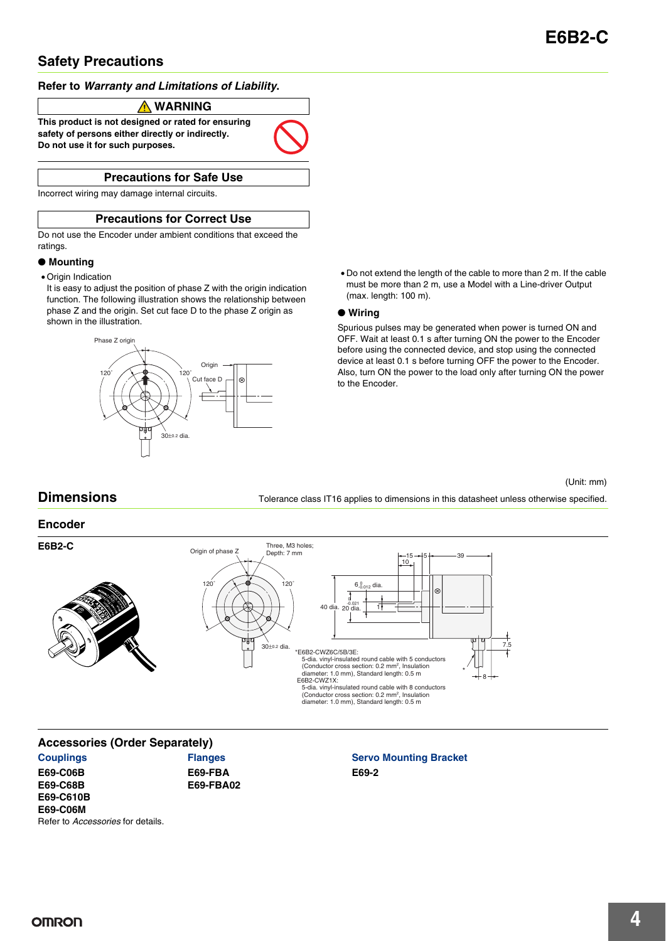## **Safety Precautions**

## **Refer to** *Warranty and Limitations of Liability***.**

## **WARNING**

**This product is not designed or rated for ensuring safety of persons either directly or indirectly. Do not use it for such purposes.**

## **Precautions for Safe Use**

Incorrect wiring may damage internal circuits.

## **Precautions for Correct Use**

Do not use the Encoder under ambient conditions that exceed the ratings.

## ● **Mounting**

- Origin Indication
	- It is easy to adjust the position of phase Z with the origin indication function. The following illustration shows the relationship between phase Z and the origin. Set cut face D to the phase Z origin as shown in the illustration.



• Do not extend the length of the cable to more than 2 m. If the cable must be more than 2 m, use a Model with a Line-driver Output (max. length: 100 m).

### ● **Wiring**

Spurious pulses may be generated when power is turned ON and OFF. Wait at least 0.1 s after turning ON the power to the Encoder before using the connected device, and stop using the connected device at least 0.1 s before turning OFF the power to the Encoder. Also, turn ON the power to the load only after turning ON the power to the Encoder.

#### (Unit: mm)

**Dimensions** Tolerance class IT16 applies to dimensions in this datasheet unless otherwise specified.



## **Accessories (Order Separately)**

**Couplings E69-C06B E69-C68B E69-C610B E69-C06M** Refer to *Accessories* for details.

**Flanges E69-FBA E69-FBA02**

## **Servo Mounting Bracket E69-2**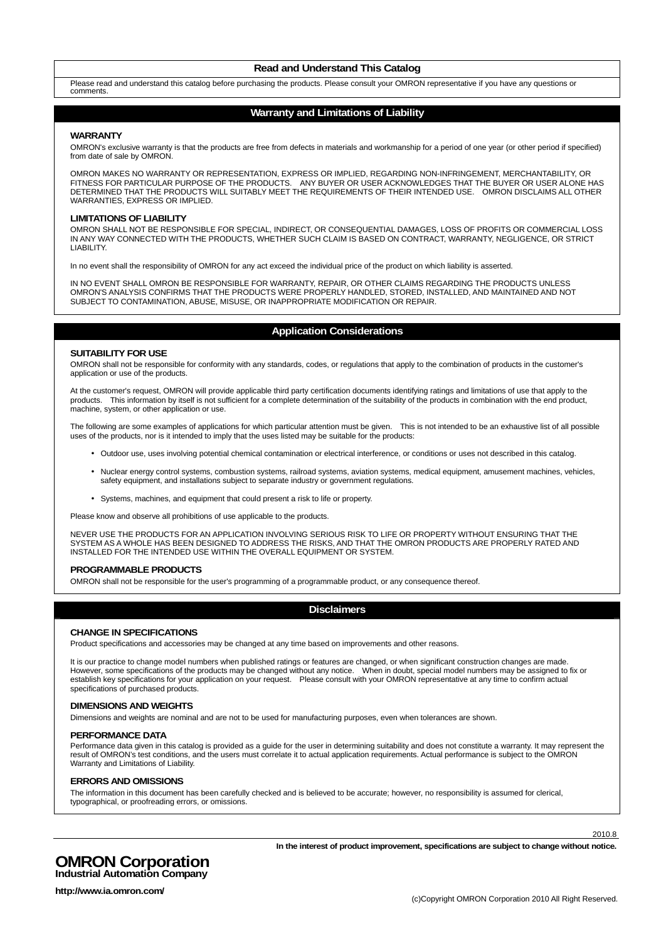#### **Read and Understand This Catalog**

Please read and understand this catalog before purchasing the products. Please consult your OMRON representative if you have any questions or comments.

#### **Warranty and Limitations of Liability**

#### **WARRANTY**

OMRON's exclusive warranty is that the products are free from defects in materials and workmanship for a period of one year (or other period if specified) from date of sale by OMRON.

OMRON MAKES NO WARRANTY OR REPRESENTATION, EXPRESS OR IMPLIED, REGARDING NON-INFRINGEMENT, MERCHANTABILITY, OR FITNESS FOR PARTICULAR PURPOSE OF THE PRODUCTS. ANY BUYER OR USER ACKNOWLEDGES THAT THE BUYER OR USER ALONE HAS DETERMINED THAT THE PRODUCTS WILL SUITABLY MEET THE REQUIREMENTS OF THEIR INTENDED USE. OMRON DISCLAIMS ALL OTHER WARRANTIES, EXPRESS OR IMPLIED.

#### **LIMITATIONS OF LIABILITY**

OMRON SHALL NOT BE RESPONSIBLE FOR SPECIAL, INDIRECT, OR CONSEQUENTIAL DAMAGES, LOSS OF PROFITS OR COMMERCIAL LOSS IN ANY WAY CONNECTED WITH THE PRODUCTS, WHETHER SUCH CLAIM IS BASED ON CONTRACT, WARRANTY, NEGLIGENCE, OR STRICT LIABILITY.

In no event shall the responsibility of OMRON for any act exceed the individual price of the product on which liability is asserted.

IN NO EVENT SHALL OMRON BE RESPONSIBLE FOR WARRANTY, REPAIR, OR OTHER CLAIMS REGARDING THE PRODUCTS UNLESS OMRON'S ANALYSIS CONFIRMS THAT THE PRODUCTS WERE PROPERLY HANDLED, STORED, INSTALLED, AND MAINTAINED AND NOT SUBJECT TO CONTAMINATION, ABUSE, MISUSE, OR INAPPROPRIATE MODIFICATION OR REPAIR.

### **Application Considerations**

#### **SUITABILITY FOR USE**

OMRON shall not be responsible for conformity with any standards, codes, or regulations that apply to the combination of products in the customer's application or use of the products.

At the customer's request, OMRON will provide applicable third party certification documents identifying ratings and limitations of use that apply to the products. This information by itself is not sufficient for a complete determination of the suitability of the products in combination with the end product, machine, system, or other application or use.

The following are some examples of applications for which particular attention must be given. This is not intended to be an exhaustive list of all possible uses of the products, nor is it intended to imply that the uses listed may be suitable for the products:

- Outdoor use, uses involving potential chemical contamination or electrical interference, or conditions or uses not described in this catalog.
- Nuclear energy control systems, combustion systems, railroad systems, aviation systems, medical equipment, amusement machines, vehicles, safety equipment, and installations subject to separate industry or government regulations.
- Systems, machines, and equipment that could present a risk to life or property.

Please know and observe all prohibitions of use applicable to the products.

NEVER USE THE PRODUCTS FOR AN APPLICATION INVOLVING SERIOUS RISK TO LIFE OR PROPERTY WITHOUT ENSURING THAT THE SYSTEM AS A WHOLE HAS BEEN DESIGNED TO ADDRESS THE RISKS, AND THAT THE OMRON PRODUCTS ARE PROPERLY RATED AND INSTALLED FOR THE INTENDED USE WITHIN THE OVERALL EQUIPMENT OR SYSTEM.

#### **PROGRAMMABLE PRODUCTS**

OMRON shall not be responsible for the user's programming of a programmable product, or any consequence thereof.

#### **Disclaimers**

#### **CHANGE IN SPECIFICATIONS**

Product specifications and accessories may be changed at any time based on improvements and other reasons.

It is our practice to change model numbers when published ratings or features are changed, or when significant construction changes are made. However, some specifications of the products may be changed without any notice. When in doubt, special model numbers may be assigned to fix or establish key specifications for your application on your request. Please consult with your OMRON representative at any time to confirm actual specifications of purchased products.

#### **DIMENSIONS AND WEIGHTS**

Dimensions and weights are nominal and are not to be used for manufacturing purposes, even when tolerances are shown.

#### **PERFORMANCE DATA**

Performance data given in this catalog is provided as a guide for the user in determining suitability and does not constitute a warranty. It may represent the result of OMRON's test conditions, and the users must correlate it to actual application requirements. Actual performance is subject to the OMRON Warranty and Limitations of Liability.

#### **ERRORS AND OMISSIONS**

The information in this document has been carefully checked and is believed to be accurate; however, no responsibility is assumed for clerical, typographical, or proofreading errors, or omissions.

2010.8

## **OMRON Corporation Industrial Automation Company**

**In the interest of product improvement, specifications are subject to change without notice.**